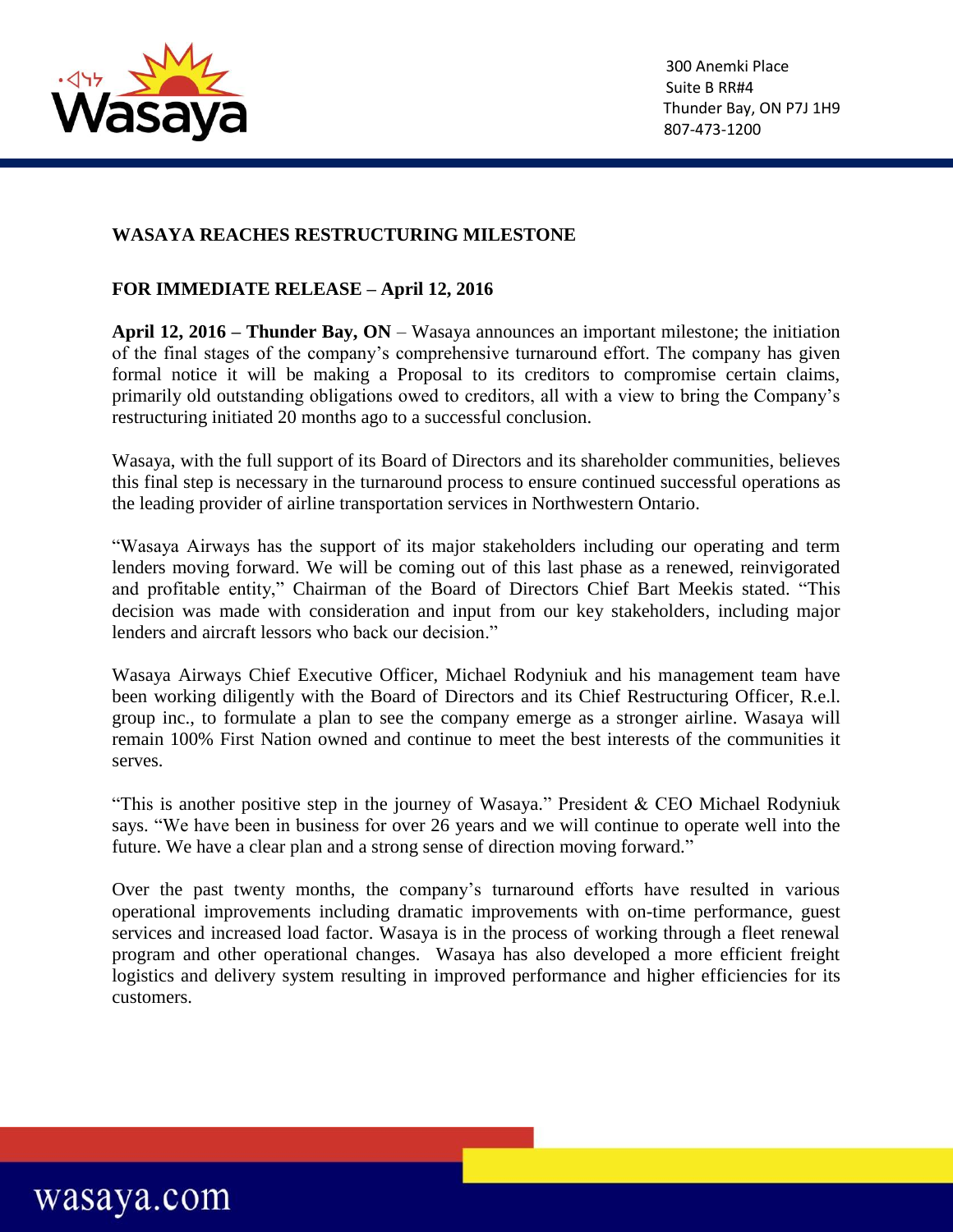

wasaya.com

## **WASAYA REACHES RESTRUCTURING MILESTONE**

## **FOR IMMEDIATE RELEASE – April 12, 2016**

**April 12, 2016 – Thunder Bay, ON** – Wasaya announces an important milestone; the initiation of the final stages of the company's comprehensive turnaround effort. The company has given formal notice it will be making a Proposal to its creditors to compromise certain claims, primarily old outstanding obligations owed to creditors, all with a view to bring the Company's restructuring initiated 20 months ago to a successful conclusion.

Wasaya, with the full support of its Board of Directors and its shareholder communities, believes this final step is necessary in the turnaround process to ensure continued successful operations as the leading provider of airline transportation services in Northwestern Ontario.

"Wasaya Airways has the support of its major stakeholders including our operating and term lenders moving forward. We will be coming out of this last phase as a renewed, reinvigorated and profitable entity," Chairman of the Board of Directors Chief Bart Meekis stated. "This decision was made with consideration and input from our key stakeholders, including major lenders and aircraft lessors who back our decision."

Wasaya Airways Chief Executive Officer, Michael Rodyniuk and his management team have been working diligently with the Board of Directors and its Chief Restructuring Officer, R.e.l. group inc., to formulate a plan to see the company emerge as a stronger airline. Wasaya will remain 100% First Nation owned and continue to meet the best interests of the communities it serves.

"This is another positive step in the journey of Wasaya." President  $&$  CEO Michael Rodyniuk says. "We have been in business for over 26 years and we will continue to operate well into the future. We have a clear plan and a strong sense of direction moving forward."

Over the past twenty months, the company's turnaround efforts have resulted in various operational improvements including dramatic improvements with on-time performance, guest services and increased load factor. Wasaya is in the process of working through a fleet renewal program and other operational changes. Wasaya has also developed a more efficient freight logistics and delivery system resulting in improved performance and higher efficiencies for its customers.